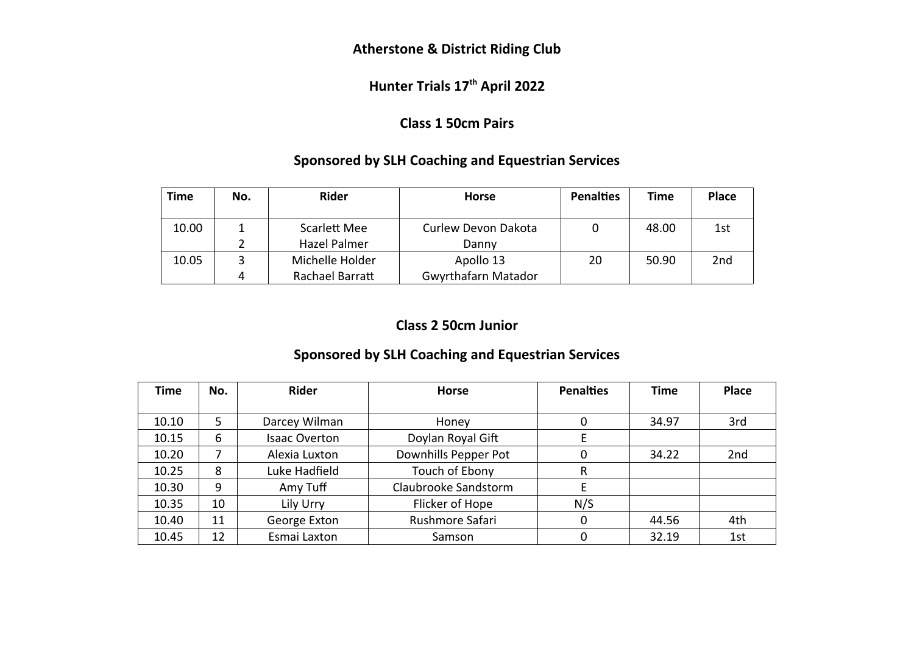### **Atherstone & District Riding Club**

# **Hunter Trials 17th April 2022**

### **Class 1 50cm Pairs**

### **Sponsored by SLH Coaching and Equestrian Services**

| <b>Time</b> | No. | <b>Rider</b>        | <b>Horse</b>               | <b>Penalties</b> | Time  | <b>Place</b> |
|-------------|-----|---------------------|----------------------------|------------------|-------|--------------|
| 10.00       |     | Scarlett Mee        | Curlew Devon Dakota        |                  | 48.00 | 1st          |
|             |     | <b>Hazel Palmer</b> | Danny                      |                  |       |              |
| 10.05       |     | Michelle Holder     | Apollo 13                  | 20               | 50.90 | 2nd          |
|             | 4   | Rachael Barratt     | <b>Gwyrthafarn Matador</b> |                  |       |              |

#### **Class 2 50cm Junior**

#### **Sponsored by SLH Coaching and Equestrian Services**

| <b>Time</b> | No. | <b>Rider</b>         | <b>Horse</b>         | <b>Penalties</b> | <b>Time</b> | Place |
|-------------|-----|----------------------|----------------------|------------------|-------------|-------|
|             |     |                      |                      |                  |             |       |
| 10.10       | 5   | Darcey Wilman        | Honey                | 0                | 34.97       | 3rd   |
| 10.15       | 6   | <b>Isaac Overton</b> | Doylan Royal Gift    |                  |             |       |
| 10.20       | 7   | Alexia Luxton        | Downhills Pepper Pot | 0                | 34.22       | 2nd   |
| 10.25       | 8   | Luke Hadfield        | Touch of Ebony       | R                |             |       |
| 10.30       | 9   | Amy Tuff             | Claubrooke Sandstorm | E                |             |       |
| 10.35       | 10  | Lily Urry            | Flicker of Hope      | N/S              |             |       |
| 10.40       | 11  | George Exton         | Rushmore Safari      | 0                | 44.56       | 4th   |
| 10.45       | 12  | Esmai Laxton         | Samson               | 0                | 32.19       | 1st   |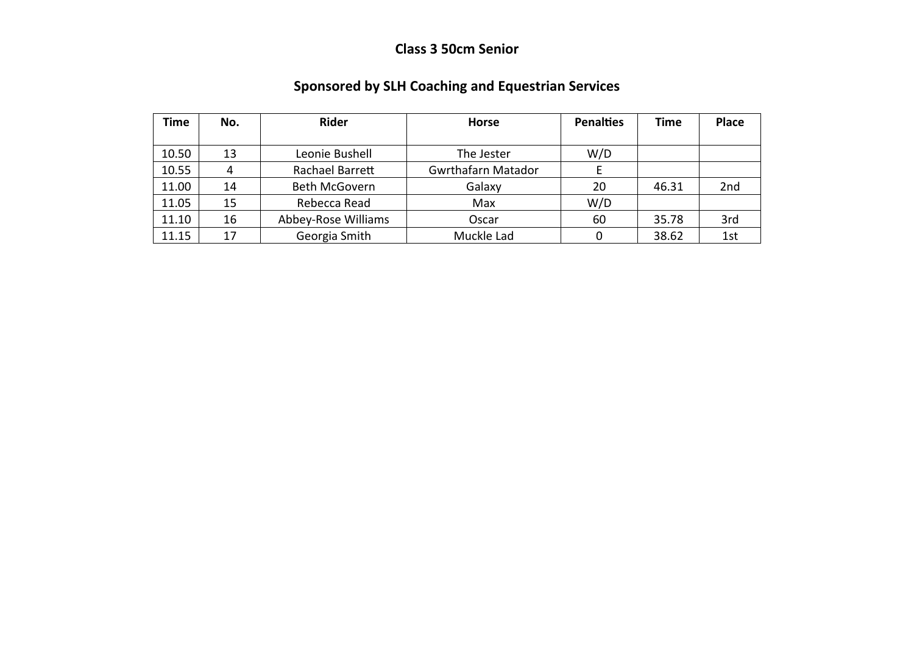## **Class 3 50cm Senior**

| Time  | No. | <b>Rider</b>        | <b>Horse</b>              | <b>Penalties</b> | Time  | <b>Place</b> |
|-------|-----|---------------------|---------------------------|------------------|-------|--------------|
|       |     |                     |                           |                  |       |              |
| 10.50 | 13  | Leonie Bushell      | The Jester                |                  |       |              |
| 10.55 | 4   | Rachael Barrett     | <b>Gwrthafarn Matador</b> |                  |       |              |
| 11.00 | 14  | Beth McGovern       | Galaxy                    | 20               | 46.31 | 2nd          |
| 11.05 | 15  | Rebecca Read        | Max                       | W/D              |       |              |
| 11.10 | 16  | Abbey-Rose Williams | Oscar                     | 60               | 35.78 | 3rd          |
| 11.15 | 17  | Georgia Smith       | Muckle Lad                |                  | 38.62 | 1st          |

# **Sponsored by SLH Coaching and Equestrian Services**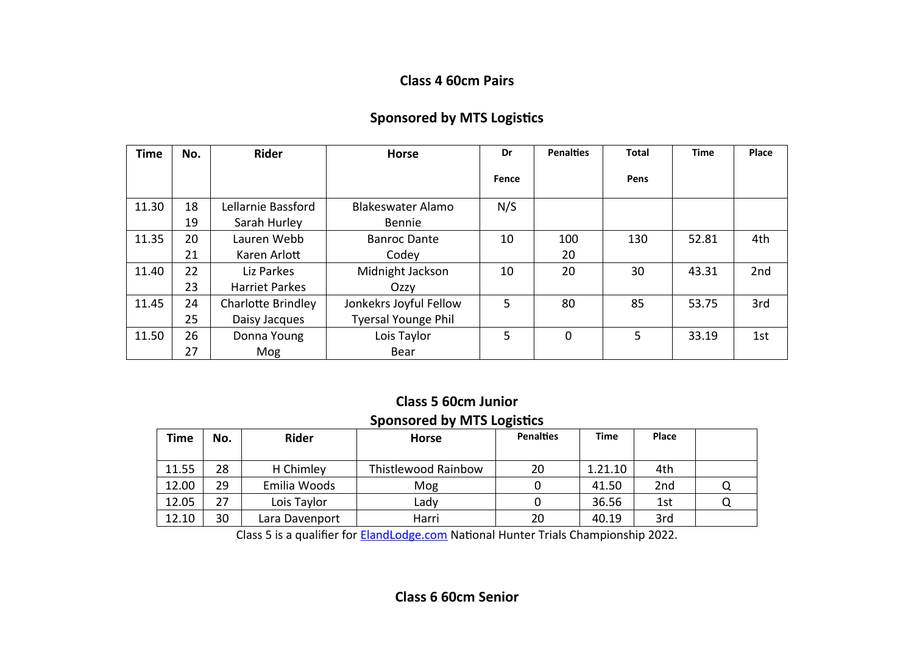#### **Class 4 60cm Pairs**

| <b>Time</b> | No. | <b>Rider</b>              | <b>Horse</b>               | Dr    | <b>Penalties</b> | <b>Total</b> | <b>Time</b> | Place |
|-------------|-----|---------------------------|----------------------------|-------|------------------|--------------|-------------|-------|
|             |     |                           |                            | Fence |                  | Pens         |             |       |
| 11.30       | 18  | Lellarnie Bassford        | Blakeswater Alamo          | N/S   |                  |              |             |       |
|             | 19  | Sarah Hurley              | <b>Bennie</b>              |       |                  |              |             |       |
| 11.35       | 20  | Lauren Webb               | <b>Banroc Dante</b>        | 10    | 100              | 130          | 52.81       | 4th   |
|             | 21  | Karen Arlott              | Codey                      |       | 20               |              |             |       |
| 11.40       | 22  | Liz Parkes                | Midnight Jackson           | 10    | 20               | 30           | 43.31       | 2nd   |
|             | 23  | <b>Harriet Parkes</b>     | Ozzy                       |       |                  |              |             |       |
| 11.45       | 24  | <b>Charlotte Brindley</b> | Jonkekrs Joyful Fellow     | 5     | 80               | 85           | 53.75       | 3rd   |
|             | 25  | Daisy Jacques             | <b>Tyersal Younge Phil</b> |       |                  |              |             |       |
| 11.50       | 26  | Donna Young               | Lois Taylor                | 5     | $\mathbf 0$      | 5            | 33.19       | 1st   |
|             | 27  | Mog                       | Bear                       |       |                  |              |             |       |

#### **Class 5 60cm Junior Sponsored by MTS Logistics**

| <b>Time</b> | No. | <b>Rider</b>   | <b>Horse</b>        | <b>Penalties</b> | <b>Time</b> | <b>Place</b> |  |
|-------------|-----|----------------|---------------------|------------------|-------------|--------------|--|
| 11.55       | 28  | H Chimley      | Thistlewood Rainbow | 20               | 1.21.10     | 4th          |  |
| 12.00       | 29  | Emilia Woods   | Mog                 |                  | 41.50       | 2nd          |  |
| 12.05       | 27  | Lois Taylor    | Lady                |                  | 36.56       | 1st          |  |
| 12.10       | 30  | Lara Davenport | Harri               | 20               | 40.19       | 3rd          |  |

Class 5 is a qualifier for [ElandLodge.com](http://elandlodge.com/?fbclid=IwAR1CzAkHOErNBRfjrpPtzeSDx8tzweKjzLwO0MPl1eI4rnPEcp_644PEdUI) National Hunter Trials Championship 2022.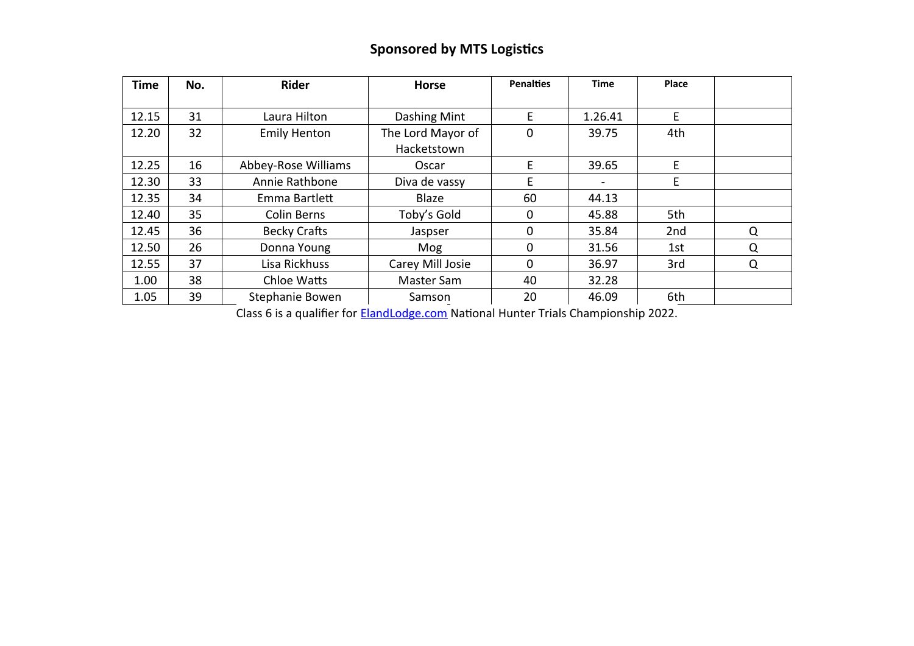# **Sponsored by MTS Logistics**

| <b>Time</b> | No. | <b>Rider</b>        | <b>Horse</b>      | <b>Penalties</b> | <b>Time</b> | <b>Place</b> |   |
|-------------|-----|---------------------|-------------------|------------------|-------------|--------------|---|
|             |     |                     |                   |                  |             |              |   |
| 12.15       | 31  | Laura Hilton        | Dashing Mint      | E                | 1.26.41     | E            |   |
| 12.20       | 32  | <b>Emily Henton</b> | The Lord Mayor of | 0                | 39.75       | 4th          |   |
|             |     |                     | Hacketstown       |                  |             |              |   |
| 12.25       | 16  | Abbey-Rose Williams | Oscar             | E                | 39.65       | E.           |   |
| 12.30       | 33  | Annie Rathbone      | Diva de vassy     | E                |             | E            |   |
| 12.35       | 34  | Emma Bartlett       | Blaze             | 60               | 44.13       |              |   |
| 12.40       | 35  | <b>Colin Berns</b>  | Toby's Gold       | 0                | 45.88       | 5th          |   |
| 12.45       | 36  | <b>Becky Crafts</b> | Jaspser           | 0                | 35.84       | 2nd          | Q |
| 12.50       | 26  | Donna Young         | Mog               | $\Omega$         | 31.56       | 1st          | Q |
| 12.55       | 37  | Lisa Rickhuss       | Carey Mill Josie  | 0                | 36.97       | 3rd          | Q |
| 1.00        | 38  | Chloe Watts         | Master Sam        | 40               | 32.28       |              |   |
| 1.05        | 39  | Stephanie Bowen     | Samson            | 20               | 46.09       | 6th          |   |

Class 6 is a qualifier for [ElandLodge.com](http://elandlodge.com/?fbclid=IwAR1CzAkHOErNBRfjrpPtzeSDx8tzweKjzLwO0MPl1eI4rnPEcp_644PEdUI) National Hunter Trials Championship 2022.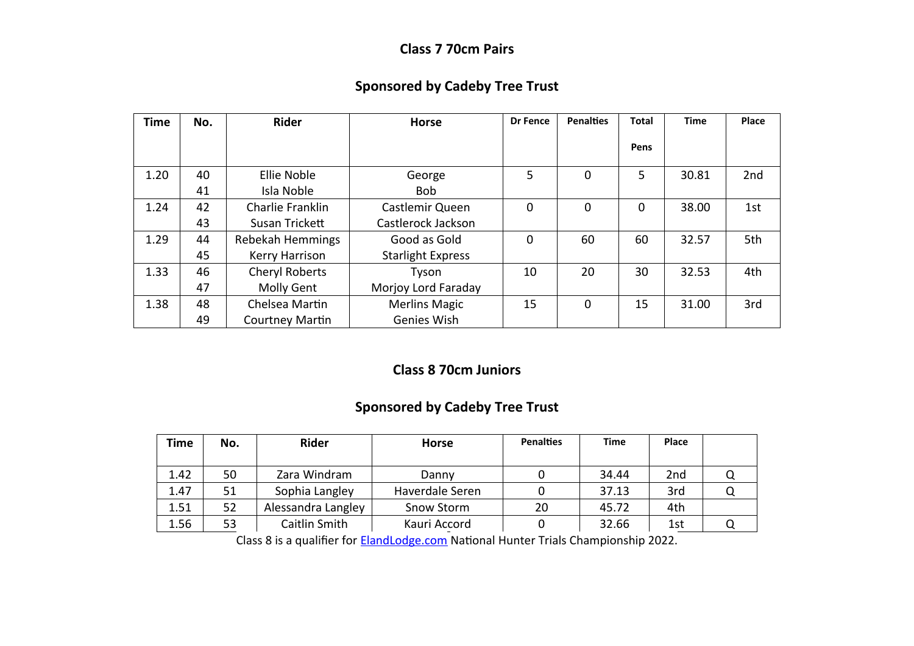#### **Class 7 70cm Pairs**

### **Sponsored by Cadeby Tree Trust**

| <b>Time</b> | No. | <b>Rider</b>     | <b>Horse</b>             | <b>Dr Fence</b> | <b>Penalties</b> | Total    | <b>Time</b> | Place |
|-------------|-----|------------------|--------------------------|-----------------|------------------|----------|-------------|-------|
|             |     |                  |                          |                 |                  | Pens     |             |       |
| 1.20        | 40  | Ellie Noble      | George                   | 5               | 0                | 5        | 30.81       | 2nd   |
|             | 41  | Isla Noble       | <b>Bob</b>               |                 |                  |          |             |       |
| 1.24        | 42  | Charlie Franklin | Castlemir Queen          | $\mathbf 0$     | 0                | $\Omega$ | 38.00       | 1st   |
|             | 43  | Susan Trickett   | Castlerock Jackson       |                 |                  |          |             |       |
| 1.29        | 44  | Rebekah Hemmings | Good as Gold             | $\Omega$        | 60               | 60       | 32.57       | 5th   |
|             | 45  | Kerry Harrison   | <b>Starlight Express</b> |                 |                  |          |             |       |
| 1.33        | 46  | Cheryl Roberts   | Tyson                    | 10              | 20               | 30       | 32.53       | 4th   |
|             | 47  | Molly Gent       | Morjoy Lord Faraday      |                 |                  |          |             |       |
| 1.38        | 48  | Chelsea Martin   | <b>Merlins Magic</b>     | 15              | 0                | 15       | 31.00       | 3rd   |
|             | 49  | Courtney Martin  | Genies Wish              |                 |                  |          |             |       |

#### **Class 8 70cm Juniors**

## **Sponsored by Cadeby Tree Trust**

| Time | No. | <b>Rider</b>       | <b>Horse</b>    | <b>Penalties</b> | <b>Time</b> | Place           |  |
|------|-----|--------------------|-----------------|------------------|-------------|-----------------|--|
| 1.42 | 50  | Zara Windram       | Danny           |                  | 34.44       | 2 <sub>nd</sub> |  |
| 1.47 | 51  | Sophia Langley     | Haverdale Seren |                  | 37.13       | 3rd             |  |
| 1.51 | 52  | Alessandra Langley | Snow Storm      | 20               | 45.72       | 4th             |  |
| 1.56 | 53  | Caitlin Smith      | Kauri Accord    |                  | 32.66       | 1st             |  |

Class 8 is a qualifier for **[ElandLodge.com](http://elandlodge.com/?fbclid=IwAR1CzAkHOErNBRfjrpPtzeSDx8tzweKjzLwO0MPl1eI4rnPEcp_644PEdUI)** National Hunter Trials Championship 2022.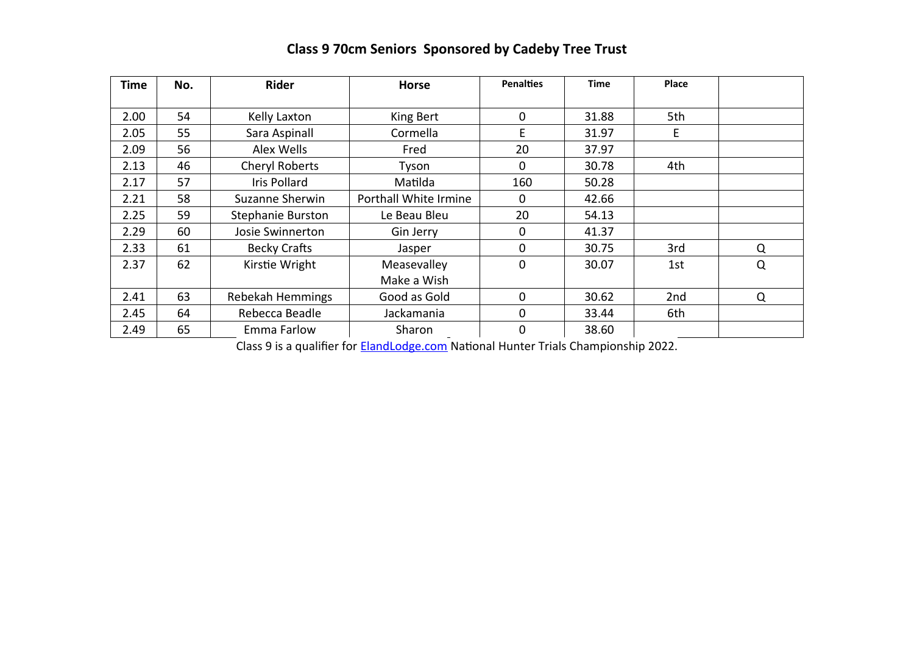| <b>Time</b> | No. | <b>Rider</b>        | <b>Horse</b>          | <b>Penalties</b> | <b>Time</b> | Place |   |
|-------------|-----|---------------------|-----------------------|------------------|-------------|-------|---|
| 2.00        | 54  | Kelly Laxton        | King Bert             | 0                | 31.88       | 5th   |   |
| 2.05        | 55  | Sara Aspinall       | Cormella              | E                | 31.97       | E     |   |
| 2.09        | 56  | Alex Wells          | Fred                  | 20               | 37.97       |       |   |
| 2.13        | 46  | Cheryl Roberts      | Tyson                 | 0                | 30.78       | 4th   |   |
| 2.17        | 57  | <b>Iris Pollard</b> | Matilda               | 160              | 50.28       |       |   |
| 2.21        | 58  | Suzanne Sherwin     | Porthall White Irmine | 0                | 42.66       |       |   |
| 2.25        | 59  | Stephanie Burston   | Le Beau Bleu          | 20               | 54.13       |       |   |
| 2.29        | 60  | Josie Swinnerton    | Gin Jerry             | 0                | 41.37       |       |   |
| 2.33        | 61  | <b>Becky Crafts</b> | Jasper                | 0                | 30.75       | 3rd   | Q |
| 2.37        | 62  | Kirstie Wright      | Measevalley           | $\mathbf 0$      | 30.07       | 1st   | Q |
|             |     |                     | Make a Wish           |                  |             |       |   |
| 2.41        | 63  | Rebekah Hemmings    | Good as Gold          | 0                | 30.62       | 2nd   | Q |
| 2.45        | 64  | Rebecca Beadle      | Jackamania            | $\mathbf 0$      | 33.44       | 6th   |   |
| 2.49        | 65  | Emma Farlow         | Sharon                | 0                | 38.60       |       |   |

# **Class 9 70cm Seniors Sponsored by Cadeby Tree Trust**

Class 9 is a qualifier for [ElandLodge.com](http://elandlodge.com/?fbclid=IwAR1CzAkHOErNBRfjrpPtzeSDx8tzweKjzLwO0MPl1eI4rnPEcp_644PEdUI) National Hunter Trials Championship 2022.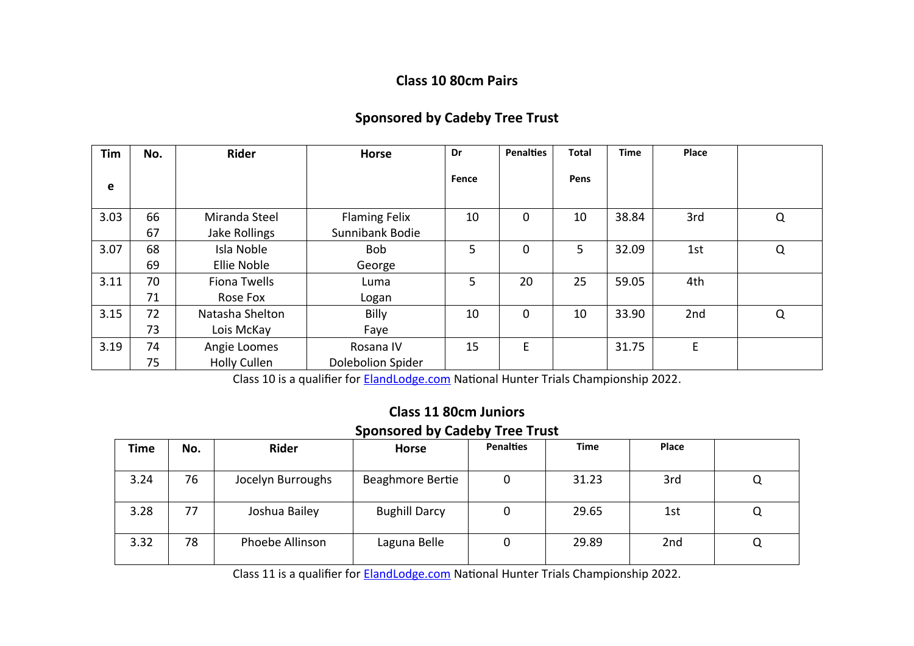#### **Class 10 80cm Pairs**

### **Sponsored by Cadeby Tree Trust**

| Tim  | No. | <b>Rider</b>        | <b>Horse</b>             | Dr    | <b>Penalties</b> | <b>Total</b> | <b>Time</b> | Place |          |
|------|-----|---------------------|--------------------------|-------|------------------|--------------|-------------|-------|----------|
| e    |     |                     |                          | Fence |                  | Pens         |             |       |          |
| 3.03 | 66  | Miranda Steel       | <b>Flaming Felix</b>     | 10    | $\Omega$         | 10           | 38.84       | 3rd   | $\Omega$ |
|      | 67  | Jake Rollings       | Sunnibank Bodie          |       |                  |              |             |       |          |
| 3.07 | 68  | Isla Noble          | <b>Bob</b>               | 5     | 0                | 5            | 32.09       | 1st   | Q        |
|      | 69  | Ellie Noble         | George                   |       |                  |              |             |       |          |
| 3.11 | 70  | Fiona Twells        | Luma                     | 5     | 20               | 25           | 59.05       | 4th   |          |
|      | 71  | Rose Fox            | Logan                    |       |                  |              |             |       |          |
| 3.15 | 72  | Natasha Shelton     | Billy                    | 10    | 0                | 10           | 33.90       | 2nd   | Q        |
|      | 73  | Lois McKay          | Faye                     |       |                  |              |             |       |          |
| 3.19 | 74  | Angie Loomes        | Rosana IV                | 15    | E                |              | 31.75       | E     |          |
|      | 75  | <b>Holly Cullen</b> | <b>Dolebolion Spider</b> |       |                  |              |             |       |          |

Class 10 is a qualifier for **[ElandLodge.com](http://elandlodge.com/?fbclid=IwAR1CzAkHOErNBRfjrpPtzeSDx8tzweKjzLwO0MPl1eI4rnPEcp_644PEdUI)** National Hunter Trials Championship 2022.

#### **Class 11 80cm Juniors Sponsored by Cadeby Tree Trust**

| Time | No. | Rider             | <b>Horse</b>         | <b>Penalties</b> | Time  | <b>Place</b> |   |
|------|-----|-------------------|----------------------|------------------|-------|--------------|---|
| 3.24 | 76  | Jocelyn Burroughs | Beaghmore Bertie     | 0                | 31.23 | 3rd          | Q |
| 3.28 | 77  | Joshua Bailey     | <b>Bughill Darcy</b> | 0                | 29.65 | 1st          | Q |
| 3.32 | 78  | Phoebe Allinson   | Laguna Belle         | 0                | 29.89 | 2nd          | Q |

Class 11 is a qualifier for [ElandLodge.com](http://elandlodge.com/?fbclid=IwAR1CzAkHOErNBRfjrpPtzeSDx8tzweKjzLwO0MPl1eI4rnPEcp_644PEdUI) National Hunter Trials Championship 2022.